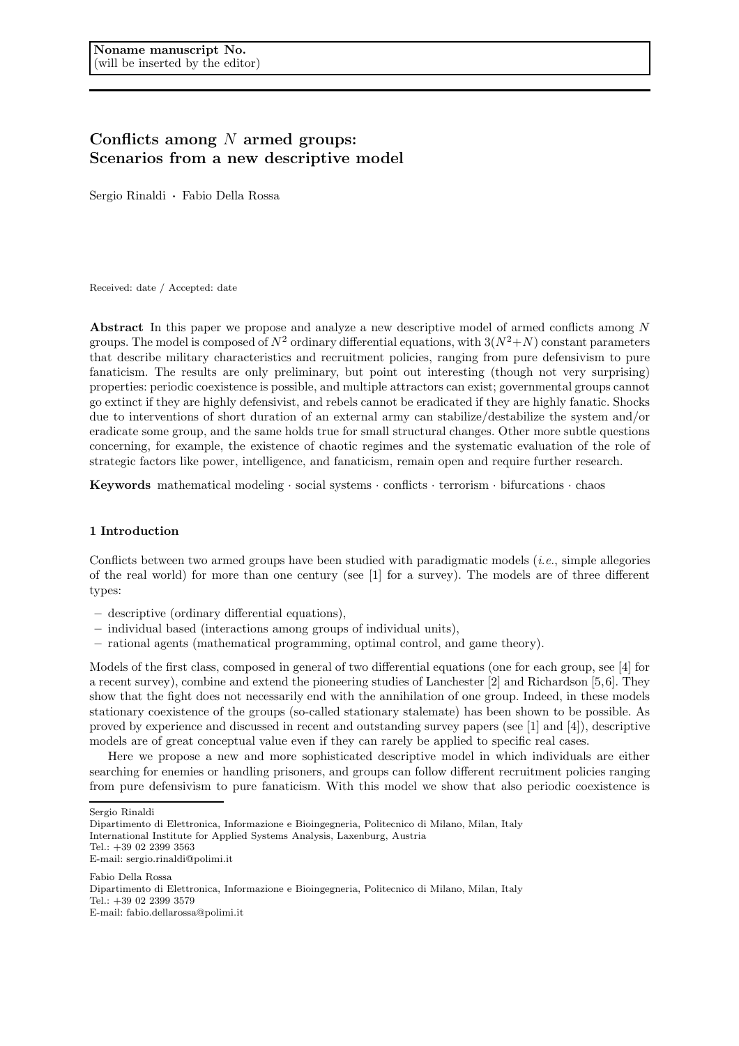# Conflicts among  $N$  armed groups: Scenarios from a new descriptive model

Sergio Rinaldi · Fabio Della Rossa

Received: date / Accepted: date

Abstract In this paper we propose and analyze a new descriptive model of armed conflicts among N groups. The model is composed of  $N^2$  ordinary differential equations, with  $3(N^2+N)$  constant parameters that describe military characteristics and recruitment policies, ranging from pure defensivism to pure fanaticism. The results are only preliminary, but point out interesting (though not very surprising) properties: periodic coexistence is possible, and multiple attractors can exist; governmental groups cannot go extinct if they are highly defensivist, and rebels cannot be eradicated if they are highly fanatic. Shocks due to interventions of short duration of an external army can stabilize/destabilize the system and/or eradicate some group, and the same holds true for small structural changes. Other more subtle questions concerning, for example, the existence of chaotic regimes and the systematic evaluation of the role of strategic factors like power, intelligence, and fanaticism, remain open and require further research.

**Keywords** mathematical modeling  $\cdot$  social systems  $\cdot$  conflicts  $\cdot$  terrorism  $\cdot$  bifurcations  $\cdot$  chaos

# 1 Introduction

Conflicts between two armed groups have been studied with paradigmatic models  $(i.e.,$  simple allegories of the real world) for more than one century (see [1] for a survey). The models are of three different types:

- descriptive (ordinary differential equations),
- individual based (interactions among groups of individual units),
- rational agents (mathematical programming, optimal control, and game theory).

Models of the first class, composed in general of two differential equations (one for each group, see [4] for a recent survey), combine and extend the pioneering studies of Lanchester [2] and Richardson [5,6]. They show that the fight does not necessarily end with the annihilation of one group. Indeed, in these models stationary coexistence of the groups (so-called stationary stalemate) has been shown to be possible. As proved by experience and discussed in recent and outstanding survey papers (see [1] and [4]), descriptive models are of great conceptual value even if they can rarely be applied to specific real cases.

Here we propose a new and more sophisticated descriptive model in which individuals are either searching for enemies or handling prisoners, and groups can follow different recruitment policies ranging from pure defensivism to pure fanaticism. With this model we show that also periodic coexistence is

Fabio Della Rossa Dipartimento di Elettronica, Informazione e Bioingegneria, Politecnico di Milano, Milan, Italy Tel.: +39 02 2399 3579 E-mail: fabio.dellarossa@polimi.it

Sergio Rinaldi

Dipartimento di Elettronica, Informazione e Bioingegneria, Politecnico di Milano, Milan, Italy International Institute for Applied Systems Analysis, Laxenburg, Austria Tel.: +39 02 2399 3563

E-mail: sergio.rinaldi@polimi.it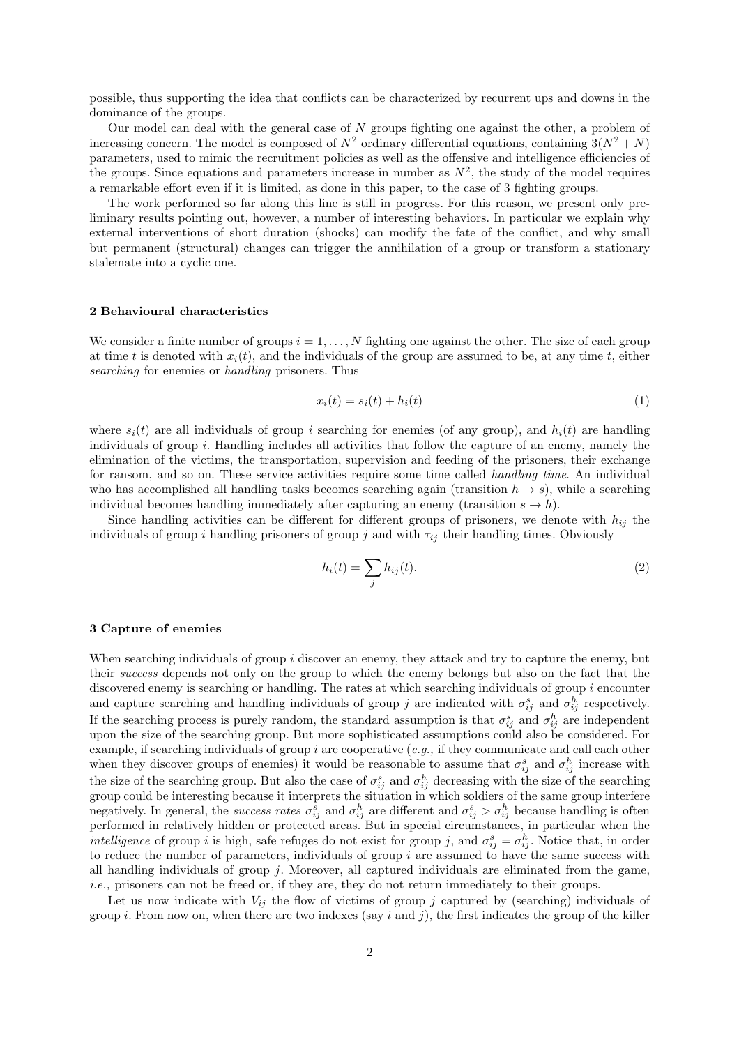possible, thus supporting the idea that conflicts can be characterized by recurrent ups and downs in the dominance of the groups.

Our model can deal with the general case of  $N$  groups fighting one against the other, a problem of increasing concern. The model is composed of  $N^2$  ordinary differential equations, containing  $3(N^2 + N)$ parameters, used to mimic the recruitment policies as well as the offensive and intelligence efficiencies of the groups. Since equations and parameters increase in number as  $N^2$ , the study of the model requires a remarkable effort even if it is limited, as done in this paper, to the case of 3 fighting groups.

The work performed so far along this line is still in progress. For this reason, we present only preliminary results pointing out, however, a number of interesting behaviors. In particular we explain why external interventions of short duration (shocks) can modify the fate of the conflict, and why small but permanent (structural) changes can trigger the annihilation of a group or transform a stationary stalemate into a cyclic one.

## 2 Behavioural characteristics

We consider a finite number of groups  $i = 1, \ldots, N$  fighting one against the other. The size of each group at time t is denoted with  $x_i(t)$ , and the individuals of the group are assumed to be, at any time t, either searching for enemies or handling prisoners. Thus

$$
x_i(t) = s_i(t) + h_i(t) \tag{1}
$$

where  $s_i(t)$  are all individuals of group i searching for enemies (of any group), and  $h_i(t)$  are handling individuals of group i. Handling includes all activities that follow the capture of an enemy, namely the elimination of the victims, the transportation, supervision and feeding of the prisoners, their exchange for ransom, and so on. These service activities require some time called *handling time*. An individual who has accomplished all handling tasks becomes searching again (transition  $h \to s$ ), while a searching individual becomes handling immediately after capturing an enemy (transition  $s \to h$ ).

Since handling activities can be different for different groups of prisoners, we denote with  $h_{ij}$  the individuals of group i handling prisoners of group j and with  $\tau_{ij}$  their handling times. Obviously

$$
h_i(t) = \sum_j h_{ij}(t). \tag{2}
$$

#### 3 Capture of enemies

When searching individuals of group  $i$  discover an enemy, they attack and try to capture the enemy, but their success depends not only on the group to which the enemy belongs but also on the fact that the discovered enemy is searching or handling. The rates at which searching individuals of group  $i$  encounter and capture searching and handling individuals of group j are indicated with  $\sigma_{ij}^s$  and  $\sigma_{ij}^h$  respectively. If the searching process is purely random, the standard assumption is that  $\sigma_{ij}^s$  and  $\sigma_{ij}^h$  are independent upon the size of the searching group. But more sophisticated assumptions could also be considered. For example, if searching individuals of group i are cooperative  $(e.g.,$  if they communicate and call each other when they discover groups of enemies) it would be reasonable to assume that  $\sigma_{ij}^s$  and  $\sigma_{ij}^h$  increase with the size of the searching group. But also the case of  $\sigma_{ij}^s$  and  $\sigma_{ij}^h$  decreasing with the size of the searching group could be interesting because it interprets the situation in which soldiers of the same group interfere negatively. In general, the success rates  $\sigma_{ij}^s$  and  $\sigma_{ij}^h$  are different and  $\sigma_{ij}^s > \sigma_{ij}^h$  because handling is often performed in relatively hidden or protected areas. But in special circumstances, in particular when the *intelligence* of group *i* is high, safe refuges do not exist for group *j*, and  $\sigma_{ij}^s = \sigma_{ij}^h$ . Notice that, in order to reduce the number of parameters, individuals of group  $i$  are assumed to have the same success with all handling individuals of group  $j$ . Moreover, all captured individuals are eliminated from the game, i.e., prisoners can not be freed or, if they are, they do not return immediately to their groups.

Let us now indicate with  $V_{ij}$  the flow of victims of group j captured by (searching) individuals of group i. From now on, when there are two indexes (say i and j), the first indicates the group of the killer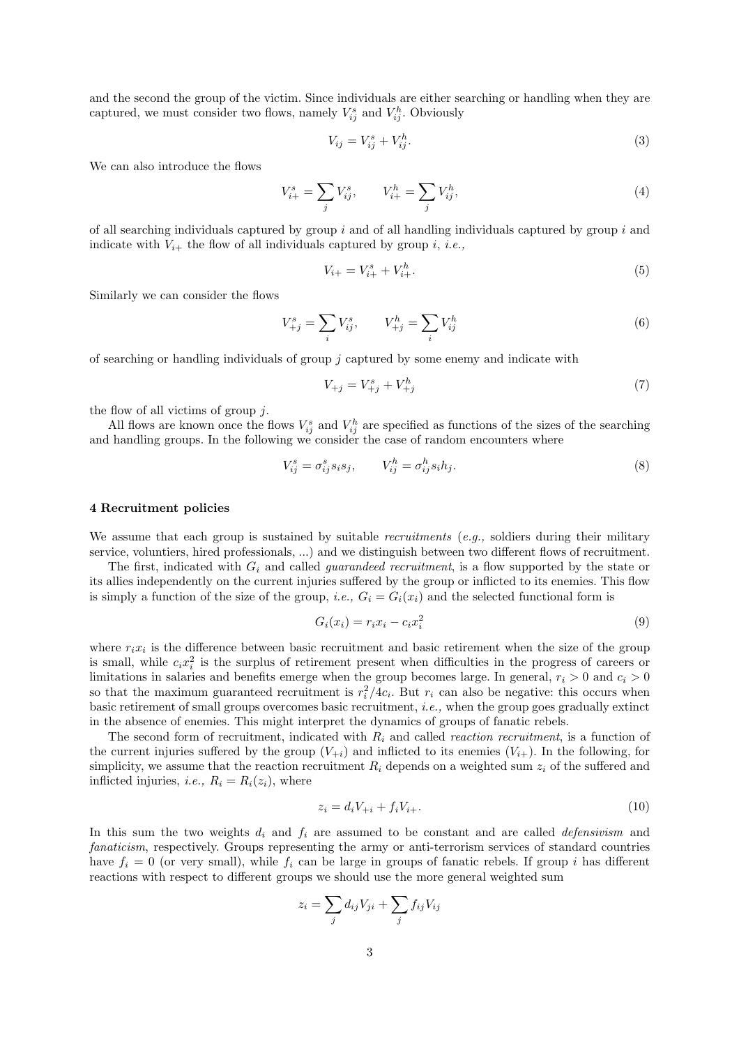and the second the group of the victim. Since individuals are either searching or handling when they are captured, we must consider two flows, namely  $V_{ij}^s$  and  $V_{ij}^h$ . Obviously

$$
V_{ij} = V_{ij}^s + V_{ij}^h. \tag{3}
$$

We can also introduce the flows

$$
V_{i+}^{s} = \sum_{j} V_{ij}^{s}, \qquad V_{i+}^{h} = \sum_{j} V_{ij}^{h}, \tag{4}
$$

of all searching individuals captured by group  $i$  and of all handling individuals captured by group  $i$  and indicate with  $V_{i+}$  the flow of all individuals captured by group i, i.e.,

$$
V_{i+} = V_{i+}^s + V_{i+}^h.
$$
\n(5)

Similarly we can consider the flows

$$
V_{+j}^{s} = \sum_{i} V_{ij}^{s}, \qquad V_{+j}^{h} = \sum_{i} V_{ij}^{h}
$$
 (6)

of searching or handling individuals of group  $j$  captured by some enemy and indicate with

$$
V_{+j} = V_{+j}^s + V_{+j}^h \tag{7}
$$

the flow of all victims of group  $j$ .

All flows are known once the flows  $V_{ij}^s$  and  $V_{ij}^h$  are specified as functions of the sizes of the searching and handling groups. In the following we consider the case of random encounters where

$$
V_{ij}^s = \sigma_{ij}^s s_i s_j, \qquad V_{ij}^h = \sigma_{ij}^h s_i h_j. \tag{8}
$$

#### 4 Recruitment policies

We assume that each group is sustained by suitable *recruitments* (*e.g.*, soldiers during their military service, voluntiers, hired professionals, ...) and we distinguish between two different flows of recruitment.

The first, indicated with  $G_i$  and called *guarandeed recruitment*, is a flow supported by the state or its allies independently on the current injuries suffered by the group or inflicted to its enemies. This flow is simply a function of the size of the group, *i.e.*,  $G_i = G_i(x_i)$  and the selected functional form is

$$
G_i(x_i) = r_i x_i - c_i x_i^2 \tag{9}
$$

where  $r_i x_i$  is the difference between basic recruitment and basic retirement when the size of the group is small, while  $c_i x_i^2$  is the surplus of retirement present when difficulties in the progress of careers or limitations in salaries and benefits emerge when the group becomes large. In general,  $r_i > 0$  and  $c_i > 0$ so that the maximum guaranteed recruitment is  $r_i^2/4c_i$ . But  $r_i$  can also be negative: this occurs when basic retirement of small groups overcomes basic recruitment, i.e., when the group goes gradually extinct in the absence of enemies. This might interpret the dynamics of groups of fanatic rebels.

The second form of recruitment, indicated with  $R_i$  and called *reaction recruitment*, is a function of the current injuries suffered by the group  $(V_{+i})$  and inflicted to its enemies  $(V_{i+})$ . In the following, for simplicity, we assume that the reaction recruitment  $R_i$  depends on a weighted sum  $z_i$  of the suffered and inflicted injuries, *i.e.*,  $R_i = R_i(z_i)$ , where

$$
z_i = d_i V_{+i} + f_i V_{i+}.
$$
\n(10)

In this sum the two weights  $d_i$  and  $f_i$  are assumed to be constant and are called *defensivism* and fanaticism, respectively. Groups representing the army or anti-terrorism services of standard countries have  $f_i = 0$  (or very small), while  $f_i$  can be large in groups of fanatic rebels. If group i has different reactions with respect to different groups we should use the more general weighted sum

$$
z_i = \sum_j d_{ij} V_{ji} + \sum_j f_{ij} V_{ij}
$$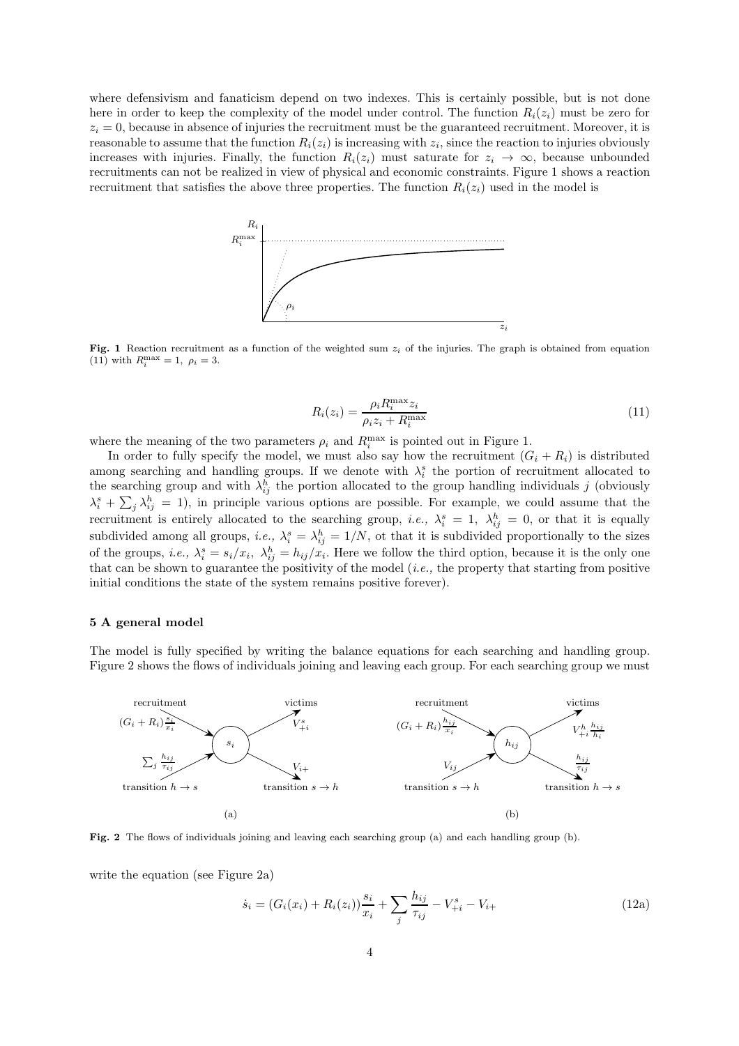where defensivism and fanaticism depend on two indexes. This is certainly possible, but is not done here in order to keep the complexity of the model under control. The function  $R_i(z_i)$  must be zero for  $z_i = 0$ , because in absence of injuries the recruitment must be the guaranteed recruitment. Moreover, it is reasonable to assume that the function  $R_i(z_i)$  is increasing with  $z_i$ , since the reaction to injuries obviously increases with injuries. Finally, the function  $R_i(z_i)$  must saturate for  $z_i \to \infty$ , because unbounded recruitments can not be realized in view of physical and economic constraints. Figure 1 shows a reaction recruitment that satisfies the above three properties. The function  $R_i(z_i)$  used in the model is



Fig. 1 Reaction recruitment as a function of the weighted sum  $z_i$  of the injuries. The graph is obtained from equation (11) with  $R_i^{\max} = 1, \ \rho_i = 3.$ 

$$
R_i(z_i) = \frac{\rho_i R_i^{\max} z_i}{\rho_i z_i + R_i^{\max}}\tag{11}
$$

where the meaning of the two parameters  $\rho_i$  and  $R_i^{\text{max}}$  is pointed out in Figure 1.

In order to fully specify the model, we must also say how the recruitment  $(G_i + R_i)$  is distributed among searching and handling groups. If we denote with  $\lambda_i^s$  the portion of recruitment allocated to the searching group and with  $\lambda_{ij}^h$  the portion allocated to the group handling individuals j (obviously  $\lambda_i^s + \sum_j \lambda_{ij}^h = 1$ , in principle various options are possible. For example, we could assume that the recruitment is entirely allocated to the searching group, *i.e.*,  $\lambda_i^s = 1$ ,  $\lambda_{ij}^h = 0$ , or that it is equally subdivided among all groups, *i.e.*,  $\lambda_i^s = \lambda_{ij}^h = 1/N$ , ot that it is subdivided proportionally to the sizes of the groups, *i.e.*,  $\lambda_i^s = s_i/x_i$ ,  $\lambda_{ij}^h = h_{ij}/x_i$ . Here we follow the third option, because it is the only one that can be shown to guarantee the positivity of the model  $(i.e.,$  the property that starting from positive initial conditions the state of the system remains positive forever).

## 5 A general model

The model is fully specified by writing the balance equations for each searching and handling group. Figure 2 shows the flows of individuals joining and leaving each group. For each searching group we must



Fig. 2 The flows of individuals joining and leaving each searching group (a) and each handling group (b).

write the equation (see Figure 2a)

$$
\dot{s}_i = (G_i(x_i) + R_i(z_i))\frac{s_i}{x_i} + \sum_j \frac{h_{ij}}{\tau_{ij}} - V^s_{+i} - V_{i+}
$$
\n(12a)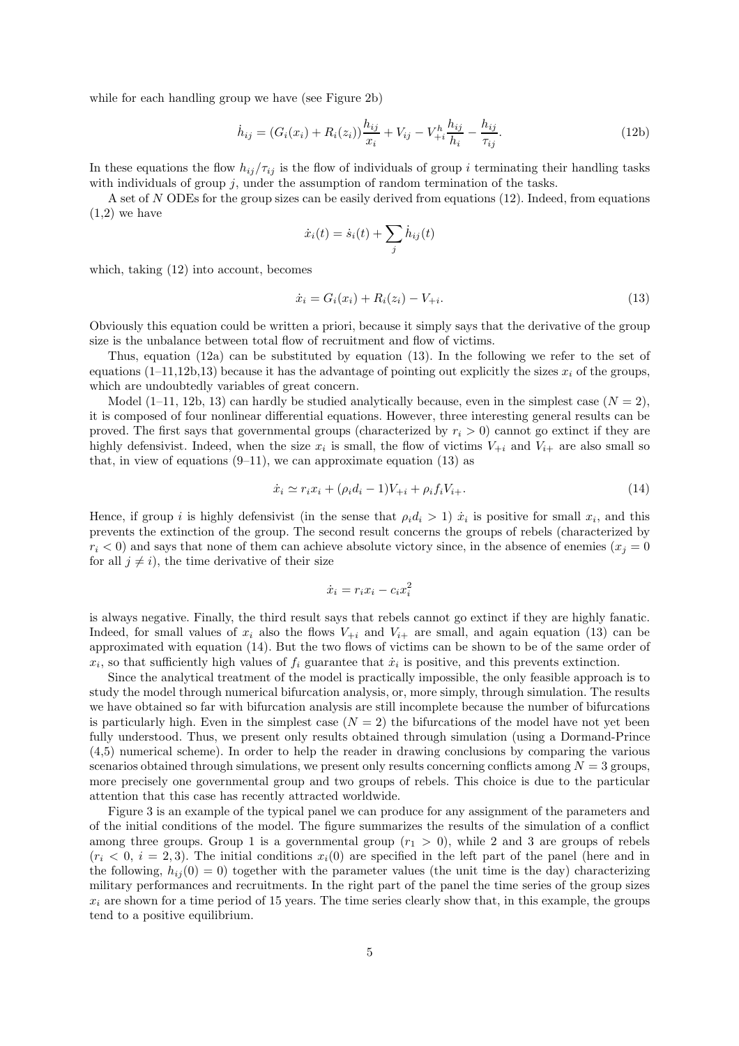while for each handling group we have (see Figure 2b)

$$
\dot{h}_{ij} = (G_i(x_i) + R_i(z_i))\frac{h_{ij}}{x_i} + V_{ij} - V^h_{+i}\frac{h_{ij}}{h_i} - \frac{h_{ij}}{\tau_{ij}}.
$$
\n(12b)

In these equations the flow  $h_{ij}/\tau_{ij}$  is the flow of individuals of group i terminating their handling tasks with individuals of group  $j$ , under the assumption of random termination of the tasks.

A set of N ODEs for the group sizes can be easily derived from equations (12). Indeed, from equations  $(1,2)$  we have

$$
\dot{x}_i(t) = \dot{s}_i(t) + \sum_j \dot{h}_{ij}(t)
$$

which, taking (12) into account, becomes

$$
\dot{x}_i = G_i(x_i) + R_i(z_i) - V_{+i}.\tag{13}
$$

Obviously this equation could be written a priori, because it simply says that the derivative of the group size is the unbalance between total flow of recruitment and flow of victims.

Thus, equation (12a) can be substituted by equation (13). In the following we refer to the set of equations (1–11,12b,13) because it has the advantage of pointing out explicitly the sizes  $x_i$  of the groups, which are undoubtedly variables of great concern.

Model (1–11, 12b, 13) can hardly be studied analytically because, even in the simplest case  $(N = 2)$ , it is composed of four nonlinear differential equations. However, three interesting general results can be proved. The first says that governmental groups (characterized by  $r_i > 0$ ) cannot go extinct if they are highly defensivist. Indeed, when the size  $x_i$  is small, the flow of victims  $V_{+i}$  and  $V_{i+}$  are also small so that, in view of equations  $(9-11)$ , we can approximate equation  $(13)$  as

$$
\dot{x}_i \simeq r_i x_i + (\rho_i d_i - 1)V_{+i} + \rho_i f_i V_{i+}.
$$
\n(14)

Hence, if group *i* is highly defensivist (in the sense that  $\rho_i d_i > 1$ )  $\dot{x}_i$  is positive for small  $x_i$ , and this prevents the extinction of the group. The second result concerns the groups of rebels (characterized by  $r_i < 0$ ) and says that none of them can achieve absolute victory since, in the absence of enemies  $(x_i = 0$ for all  $j \neq i$ , the time derivative of their size

$$
\dot{x}_i = r_i x_i - c_i x_i^2
$$

is always negative. Finally, the third result says that rebels cannot go extinct if they are highly fanatic. Indeed, for small values of  $x_i$  also the flows  $V_{+i}$  and  $V_{i+}$  are small, and again equation (13) can be approximated with equation (14). But the two flows of victims can be shown to be of the same order of  $x_i$ , so that sufficiently high values of  $f_i$  guarantee that  $\dot{x}_i$  is positive, and this prevents extinction.

Since the analytical treatment of the model is practically impossible, the only feasible approach is to study the model through numerical bifurcation analysis, or, more simply, through simulation. The results we have obtained so far with bifurcation analysis are still incomplete because the number of bifurcations is particularly high. Even in the simplest case  $(N = 2)$  the bifurcations of the model have not yet been fully understood. Thus, we present only results obtained through simulation (using a Dormand-Prince (4,5) numerical scheme). In order to help the reader in drawing conclusions by comparing the various scenarios obtained through simulations, we present only results concerning conflicts among  $N = 3$  groups, more precisely one governmental group and two groups of rebels. This choice is due to the particular attention that this case has recently attracted worldwide.

Figure 3 is an example of the typical panel we can produce for any assignment of the parameters and of the initial conditions of the model. The figure summarizes the results of the simulation of a conflict among three groups. Group 1 is a governmental group  $(r_1 > 0)$ , while 2 and 3 are groups of rebels  $(r_i < 0, i = 2, 3)$ . The initial conditions  $x_i(0)$  are specified in the left part of the panel (here and in the following,  $h_{ij}(0) = 0$ ) together with the parameter values (the unit time is the day) characterizing military performances and recruitments. In the right part of the panel the time series of the group sizes  $x_i$  are shown for a time period of 15 years. The time series clearly show that, in this example, the groups tend to a positive equilibrium.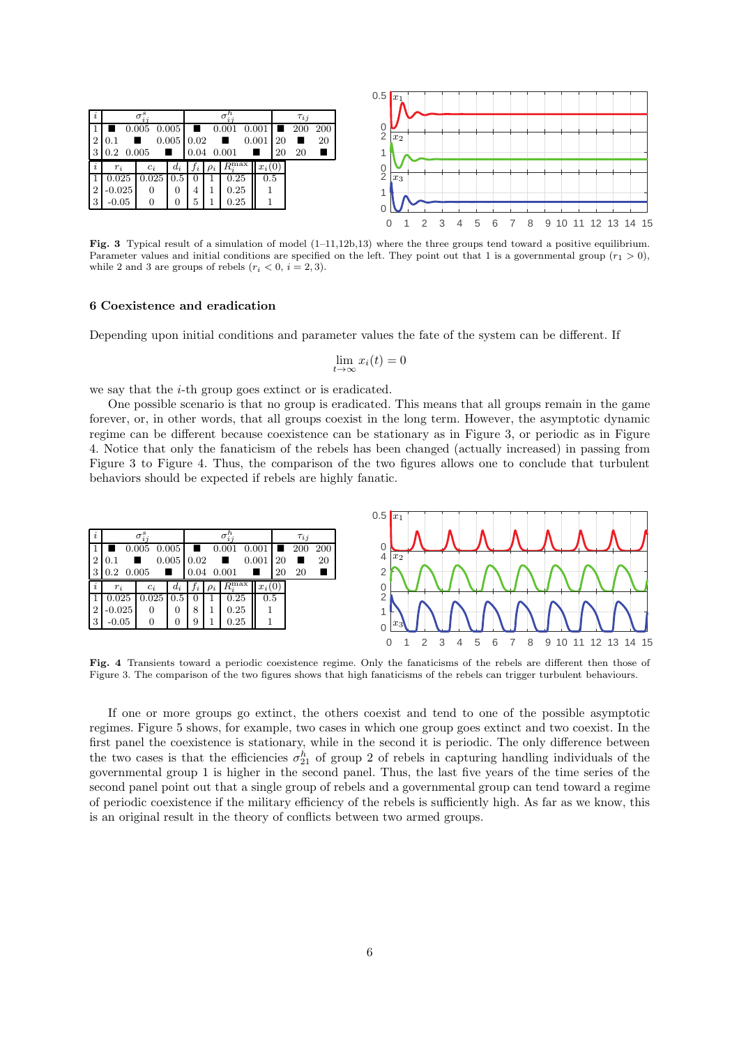

Fig. 3 Typical result of a simulation of model (1–11,12b,13) where the three groups tend toward a positive equilibrium. Parameter values and initial conditions are specified on the left. They point out that 1 is a governmental group  $(r_1 > 0)$ , while 2 and 3 are groups of rebels  $(r_i < 0, i = 2, 3)$ .

#### 6 Coexistence and eradication

Depending upon initial conditions and parameter values the fate of the system can be different. If

$$
\lim_{t \to \infty} x_i(t) = 0
$$

we say that the *i*-th group goes extinct or is eradicated.

One possible scenario is that no group is eradicated. This means that all groups remain in the game forever, or, in other words, that all groups coexist in the long term. However, the asymptotic dynamic regime can be different because coexistence can be stationary as in Figure 3, or periodic as in Figure 4. Notice that only the fanaticism of the rebels has been changed (actually increased) in passing from Figure 3 to Figure 4. Thus, the comparison of the two figures allows one to conclude that turbulent behaviors should be expected if rebels are highly fanatic.

![](_page_5_Figure_7.jpeg)

Fig. 4 Transients toward a periodic coexistence regime. Only the fanaticisms of the rebels are different then those of Figure 3. The comparison of the two figures shows that high fanaticisms of the rebels can trigger turbulent behaviours.

If one or more groups go extinct, the others coexist and tend to one of the possible asymptotic regimes. Figure 5 shows, for example, two cases in which one group goes extinct and two coexist. In the first panel the coexistence is stationary, while in the second it is periodic. The only difference between the two cases is that the efficiencies  $\sigma_{21}^h$  of group 2 of rebels in capturing handling individuals of the governmental group 1 is higher in the second panel. Thus, the last five years of the time series of the second panel point out that a single group of rebels and a governmental group can tend toward a regime of periodic coexistence if the military efficiency of the rebels is sufficiently high. As far as we know, this is an original result in the theory of conflicts between two armed groups.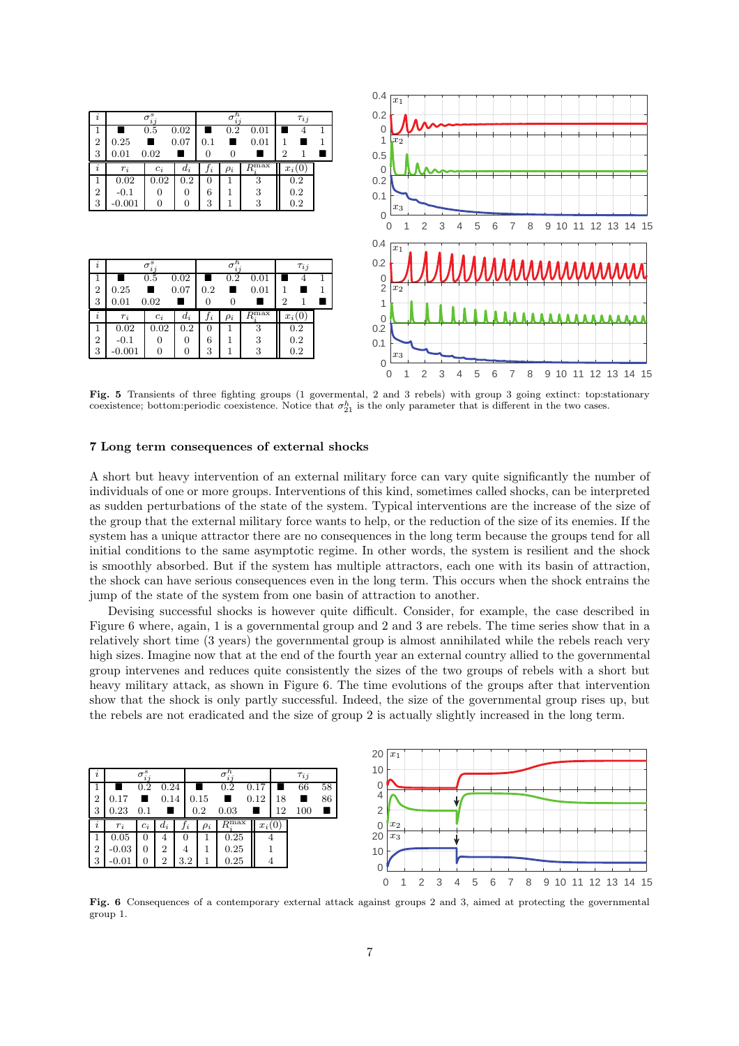![](_page_6_Figure_0.jpeg)

Fig. 5 Transients of three fighting groups (1 govermental, 2 and 3 rebels) with group 3 going extinct: top:stationary coexistence; bottom:periodic coexistence. Notice that  $\sigma_{21}^h$  is the only parameter that is different in the two cases.

#### 7 Long term consequences of external shocks

A short but heavy intervention of an external military force can vary quite significantly the number of individuals of one or more groups. Interventions of this kind, sometimes called shocks, can be interpreted as sudden perturbations of the state of the system. Typical interventions are the increase of the size of the group that the external military force wants to help, or the reduction of the size of its enemies. If the system has a unique attractor there are no consequences in the long term because the groups tend for all initial conditions to the same asymptotic regime. In other words, the system is resilient and the shock is smoothly absorbed. But if the system has multiple attractors, each one with its basin of attraction, the shock can have serious consequences even in the long term. This occurs when the shock entrains the jump of the state of the system from one basin of attraction to another.

Devising successful shocks is however quite difficult. Consider, for example, the case described in Figure 6 where, again, 1 is a governmental group and 2 and 3 are rebels. The time series show that in a relatively short time (3 years) the governmental group is almost annihilated while the rebels reach very high sizes. Imagine now that at the end of the fourth year an external country allied to the governmental group intervenes and reduces quite consistently the sizes of the two groups of rebels with a short but heavy military attack, as shown in Figure 6. The time evolutions of the groups after that intervention show that the shock is only partly successful. Indeed, the size of the governmental group rises up, but the rebels are not eradicated and the size of group 2 is actually slightly increased in the long term.

| $\imath$       |         | $\sigma_{ij}^s$ |       |       |          |                             |          |    | $\tau_{i,i}$ |    |
|----------------|---------|-----------------|-------|-------|----------|-----------------------------|----------|----|--------------|----|
|                |         | 0.2             | 0.24  |       |          | 0.2                         | 0.17     |    | 66           | 58 |
| $\overline{2}$ | 0.17    |                 | 0.14  |       | 0.15     | ш                           | 0.12     | 18 |              | 86 |
| 3              | 0.23    | 0.1             |       |       | 0.2      | 0.03                        |          | 12 | 100          |    |
| i              | $r_i$   | $c_i$           | $d_i$ | $J_i$ | $\rho_i$ | $R^{\overline{\text{max}}}$ | $x_i(0)$ |    |              |    |
|                | 0.05    | 0               | 4     |       |          | 0.25                        |          |    |              |    |
| $\overline{2}$ | $-0.03$ | $\theta$        | 2     |       |          | 0.25                        |          |    |              |    |
| 3              | $-0.01$ | 0               | 2     | 3.2   |          | 0.25                        |          |    |              |    |

![](_page_6_Figure_6.jpeg)

Fig. 6 Consequences of a contemporary external attack against groups 2 and 3, aimed at protecting the governmental group 1.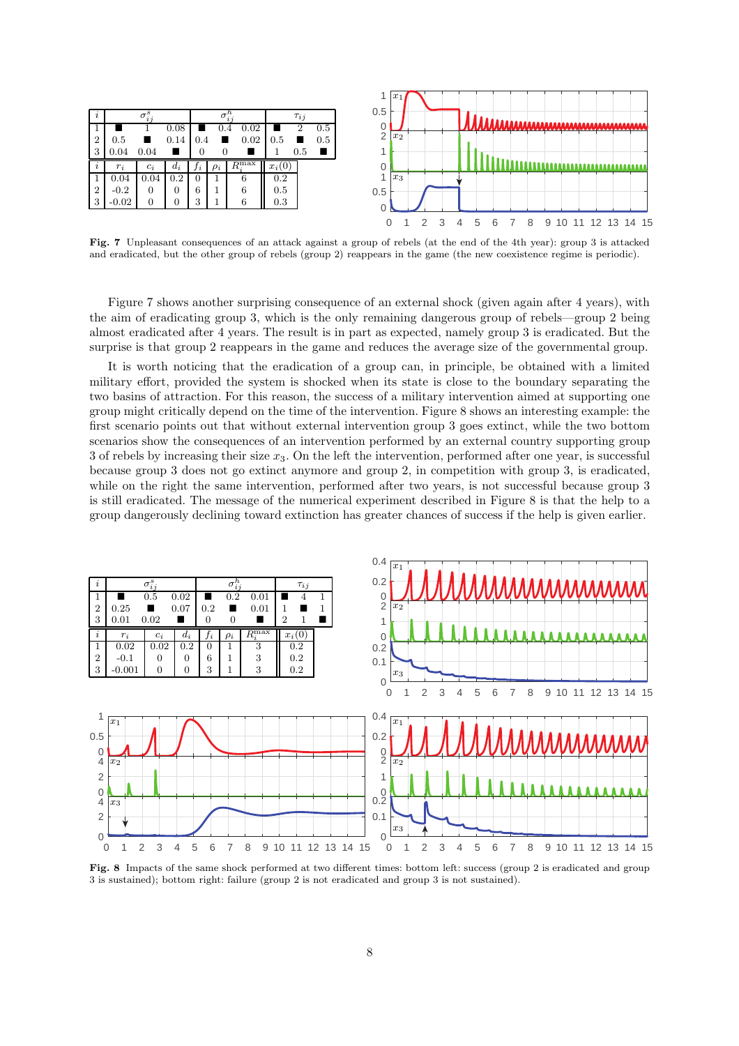![](_page_7_Figure_0.jpeg)

Fig. 7 Unpleasant consequences of an attack against a group of rebels (at the end of the 4th year): group 3 is attacked and eradicated, but the other group of rebels (group 2) reappears in the game (the new coexistence regime is periodic).

Figure 7 shows another surprising consequence of an external shock (given again after 4 years), with the aim of eradicating group 3, which is the only remaining dangerous group of rebels—group 2 being almost eradicated after 4 years. The result is in part as expected, namely group 3 is eradicated. But the surprise is that group 2 reappears in the game and reduces the average size of the governmental group.

It is worth noticing that the eradication of a group can, in principle, be obtained with a limited military effort, provided the system is shocked when its state is close to the boundary separating the two basins of attraction. For this reason, the success of a military intervention aimed at supporting one group might critically depend on the time of the intervention. Figure 8 shows an interesting example: the first scenario points out that without external intervention group 3 goes extinct, while the two bottom scenarios show the consequences of an intervention performed by an external country supporting group 3 of rebels by increasing their size  $x_3$ . On the left the intervention, performed after one year, is successful because group 3 does not go extinct anymore and group 2, in competition with group 3, is eradicated, while on the right the same intervention, performed after two years, is not successful because group 3 is still eradicated. The message of the numerical experiment described in Figure 8 is that the help to a group dangerously declining toward extinction has greater chances of success if the help is given earlier.

![](_page_7_Figure_4.jpeg)

Fig. 8 Impacts of the same shock performed at two different times: bottom left: success (group 2 is eradicated and group 3 is sustained); bottom right: failure (group 2 is not eradicated and group 3 is not sustained).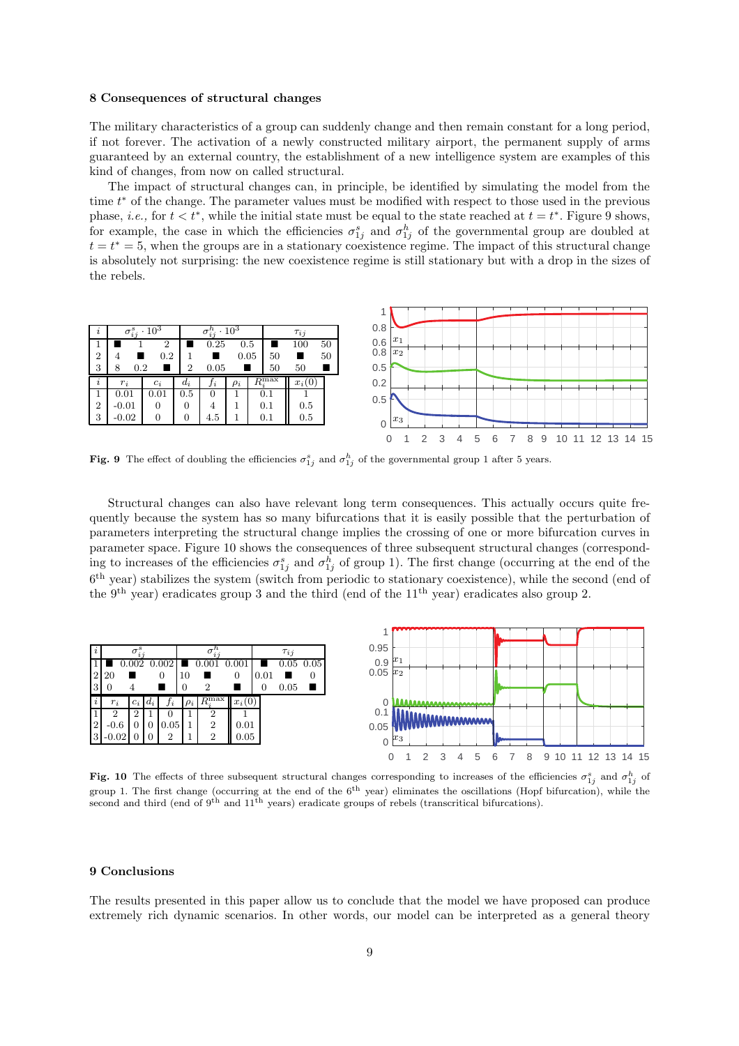#### 8 Consequences of structural changes

The military characteristics of a group can suddenly change and then remain constant for a long period, if not forever. The activation of a newly constructed military airport, the permanent supply of arms guaranteed by an external country, the establishment of a new intelligence system are examples of this kind of changes, from now on called structural.

The impact of structural changes can, in principle, be identified by simulating the model from the time  $t^*$  of the change. The parameter values must be modified with respect to those used in the previous phase, *i.e.*, for  $t < t^*$ , while the initial state must be equal to the state reached at  $t = t^*$ . Figure 9 shows, for example, the case in which the efficiencies  $\sigma_{1j}^s$  and  $\sigma_{1j}^h$  of the governmental group are doubled at  $t = t^* = 5$ , when the groups are in a stationary coexistence regime. The impact of this structural change is absolutely not surprising: the new coexistence regime is still stationary but with a drop in the sizes of the rebels.

![](_page_8_Figure_3.jpeg)

Fig. 9 The effect of doubling the efficiencies  $\sigma_{1j}^s$  and  $\sigma_{1j}^h$  of the governmental group 1 after 5 years.

Structural changes can also have relevant long term consequences. This actually occurs quite frequently because the system has so many bifurcations that it is easily possible that the perturbation of parameters interpreting the structural change implies the crossing of one or more bifurcation curves in parameter space. Figure 10 shows the consequences of three subsequent structural changes (corresponding to increases of the efficiencies  $\sigma_{1j}^s$  and  $\sigma_{1j}^h$  of group 1). The first change (occurring at the end of the 6 th year) stabilizes the system (switch from periodic to stationary coexistence), while the second (end of the 9<sup>th</sup> year) eradicates group 3 and the third (end of the  $11<sup>th</sup>$  year) eradicates also group 2.

![](_page_8_Figure_6.jpeg)

Fig. 10 The effects of three subsequent structural changes corresponding to increases of the efficiencies  $\sigma_{1j}^s$  and  $\sigma_{1j}^h$  of group 1. The first change (occurring at the end of the  $6<sup>th</sup>$  year) eliminates the oscillations (Hopf bifurcation), while the second and third (end of 9<sup>th</sup> and 11<sup>th</sup> years) eradicate groups of rebels (transcritical bifurcations).

#### 9 Conclusions

The results presented in this paper allow us to conclude that the model we have proposed can produce extremely rich dynamic scenarios. In other words, our model can be interpreted as a general theory